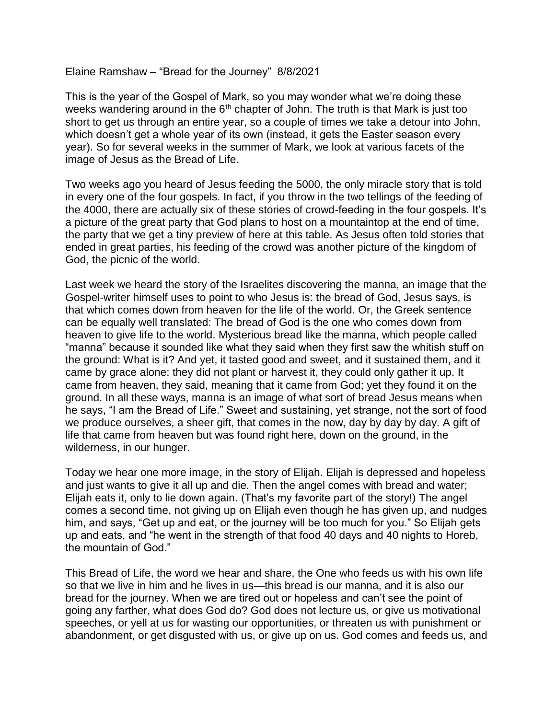Elaine Ramshaw – "Bread for the Journey" 8/8/2021

This is the year of the Gospel of Mark, so you may wonder what we're doing these weeks wandering around in the  $6<sup>th</sup>$  chapter of John. The truth is that Mark is just too short to get us through an entire year, so a couple of times we take a detour into John, which doesn't get a whole year of its own (instead, it gets the Easter season every year). So for several weeks in the summer of Mark, we look at various facets of the image of Jesus as the Bread of Life.

Two weeks ago you heard of Jesus feeding the 5000, the only miracle story that is told in every one of the four gospels. In fact, if you throw in the two tellings of the feeding of the 4000, there are actually six of these stories of crowd-feeding in the four gospels. It's a picture of the great party that God plans to host on a mountaintop at the end of time, the party that we get a tiny preview of here at this table. As Jesus often told stories that ended in great parties, his feeding of the crowd was another picture of the kingdom of God, the picnic of the world.

Last week we heard the story of the Israelites discovering the manna, an image that the Gospel-writer himself uses to point to who Jesus is: the bread of God, Jesus says, is that which comes down from heaven for the life of the world. Or, the Greek sentence can be equally well translated: The bread of God is the one who comes down from heaven to give life to the world. Mysterious bread like the manna, which people called "manna" because it sounded like what they said when they first saw the whitish stuff on the ground: What is it? And yet, it tasted good and sweet, and it sustained them, and it came by grace alone: they did not plant or harvest it, they could only gather it up. It came from heaven, they said, meaning that it came from God; yet they found it on the ground. In all these ways, manna is an image of what sort of bread Jesus means when he says, "I am the Bread of Life." Sweet and sustaining, yet strange, not the sort of food we produce ourselves, a sheer gift, that comes in the now, day by day by day. A gift of life that came from heaven but was found right here, down on the ground, in the wilderness, in our hunger.

Today we hear one more image, in the story of Elijah. Elijah is depressed and hopeless and just wants to give it all up and die. Then the angel comes with bread and water; Elijah eats it, only to lie down again. (That's my favorite part of the story!) The angel comes a second time, not giving up on Elijah even though he has given up, and nudges him, and says, "Get up and eat, or the journey will be too much for you." So Elijah gets up and eats, and "he went in the strength of that food 40 days and 40 nights to Horeb, the mountain of God."

This Bread of Life, the word we hear and share, the One who feeds us with his own life so that we live in him and he lives in us—this bread is our manna, and it is also our bread for the journey. When we are tired out or hopeless and can't see the point of going any farther, what does God do? God does not lecture us, or give us motivational speeches, or yell at us for wasting our opportunities, or threaten us with punishment or abandonment, or get disgusted with us, or give up on us. God comes and feeds us, and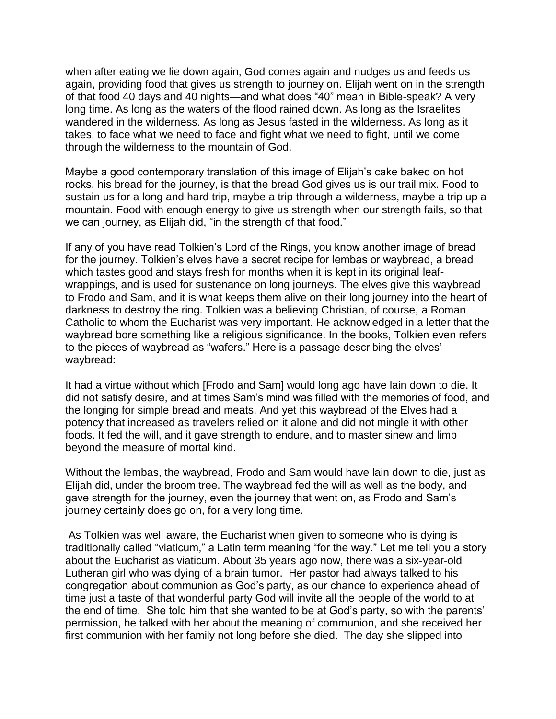when after eating we lie down again, God comes again and nudges us and feeds us again, providing food that gives us strength to journey on. Elijah went on in the strength of that food 40 days and 40 nights—and what does "40" mean in Bible-speak? A very long time. As long as the waters of the flood rained down. As long as the Israelites wandered in the wilderness. As long as Jesus fasted in the wilderness. As long as it takes, to face what we need to face and fight what we need to fight, until we come through the wilderness to the mountain of God.

Maybe a good contemporary translation of this image of Elijah's cake baked on hot rocks, his bread for the journey, is that the bread God gives us is our trail mix. Food to sustain us for a long and hard trip, maybe a trip through a wilderness, maybe a trip up a mountain. Food with enough energy to give us strength when our strength fails, so that we can journey, as Elijah did, "in the strength of that food."

If any of you have read Tolkien's Lord of the Rings, you know another image of bread for the journey. Tolkien's elves have a secret recipe for lembas or waybread, a bread which tastes good and stays fresh for months when it is kept in its original leafwrappings, and is used for sustenance on long journeys. The elves give this waybread to Frodo and Sam, and it is what keeps them alive on their long journey into the heart of darkness to destroy the ring. Tolkien was a believing Christian, of course, a Roman Catholic to whom the Eucharist was very important. He acknowledged in a letter that the waybread bore something like a religious significance. In the books, Tolkien even refers to the pieces of waybread as "wafers." Here is a passage describing the elves' waybread:

It had a virtue without which [Frodo and Sam] would long ago have lain down to die. It did not satisfy desire, and at times Sam's mind was filled with the memories of food, and the longing for simple bread and meats. And yet this waybread of the Elves had a potency that increased as travelers relied on it alone and did not mingle it with other foods. It fed the will, and it gave strength to endure, and to master sinew and limb beyond the measure of mortal kind.

Without the lembas, the waybread, Frodo and Sam would have lain down to die, just as Elijah did, under the broom tree. The waybread fed the will as well as the body, and gave strength for the journey, even the journey that went on, as Frodo and Sam's journey certainly does go on, for a very long time.

As Tolkien was well aware, the Eucharist when given to someone who is dying is traditionally called "viaticum," a Latin term meaning "for the way." Let me tell you a story about the Eucharist as viaticum. About 35 years ago now, there was a six-year-old Lutheran girl who was dying of a brain tumor. Her pastor had always talked to his congregation about communion as God's party, as our chance to experience ahead of time just a taste of that wonderful party God will invite all the people of the world to at the end of time. She told him that she wanted to be at God's party, so with the parents' permission, he talked with her about the meaning of communion, and she received her first communion with her family not long before she died. The day she slipped into